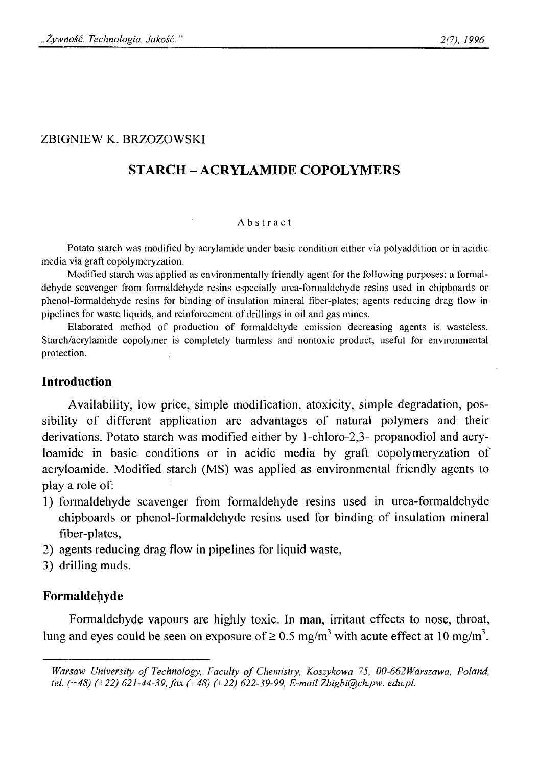# ZBIGNIEW K. BRZOZOWSKI

# **STARCH - ACRYLAMIDE COPOLYMERS**

#### **Abstract**

**Potato starch was modified by acrylamide under basic condition either via polyaddition or in acidic media via graft copolymeryzation.**

**Modified starch was applied as environmentally friendly agent for the following purposes: a formaldehyde scavenger from formaldehyde resins especially urea-formaldehyde resins used in chipboards or** phenol-formaldehyde resins for binding of insulation mineral fiber-plates; agents reducing drag flow in **pipelines for waste liquids, and reinforcement of drillings in oil and gas mines.**

Elaborated method of production of formaldehyde emission decreasing agents is wasteless. **Starch/acrylamide copolymer is completely harmless and nontoxic product, useful for environmental protection.**

## **Introduction**

Availability, low price, simple modification, atoxicity, simple degradation, possibility of different application are advantages of natural polymers and their derivations. Potato starch was modified either by l-chloro-2,3- propanodiol and acryloamide in basic conditions or in acidic media by graft copolymeryzation of acryloamide. Modified starch (MS) was applied as environmental friendly agents to play a role of:

- 1) formaldehyde scavenger from formaldehyde resins used in urea-formaldehyde chipboards or phenol-formaldehyde resins used for binding of insulation mineral fiber-plates,
- 2) agents reducing drag flow in pipelines for liquid waste,
- 3) drilling muds.

## **Formaldehyde**

Formaldehyde vapours are highly toxic. In man, irritant effects to nose, throat, lung and eyes could be seen on exposure of  $\geq 0.5$  mg/m<sup>3</sup> with acute effect at 10 mg/m<sup>3</sup>.

*Warsaw University of Technology, Faculty of Chemistry, Koszykowa 75, 00-662Warszawa, Poland, tel. (+48) (+22) 621-44-39, fax (+48) (+22) 622-39-99, E-mail [Zbigbi@ch.pw](mailto:Zbigbi@ch.pw). edu.pl.*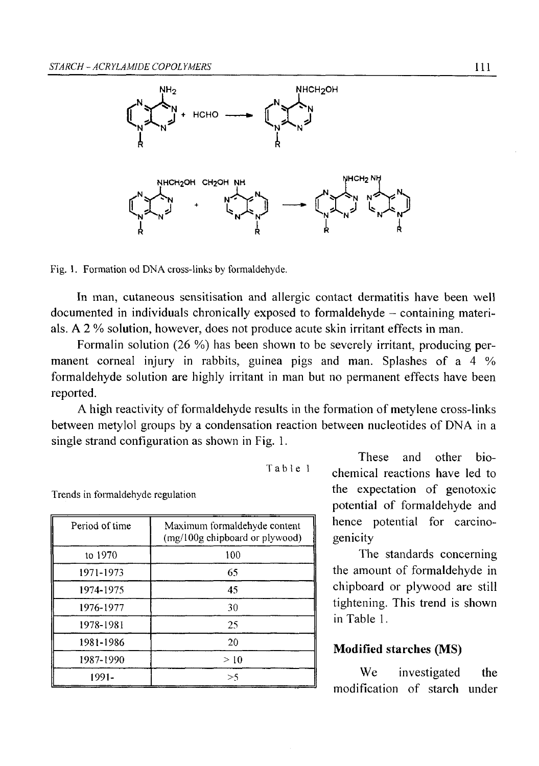

**Fig. 1. Formation od DNA cross-links by formaldehyde.**

In man, cutaneous sensitisation and allergic contact dermatitis have been well documented in individuals chronically exposed to formaldehyde - containing materials. A 2 % solution, however, does not produce acute skin irritant effects in man.

Formalin solution (26 %) has been shown to be severely irritant, producing permanent corneal injury in rabbits, guinea pigs and man. Splashes of a 4 % formaldehyde solution are highly irritant in man but no permanent effects have been reported.

A high reactivity of formaldehyde results in the formation of metylene cross-links between metylol groups by a condensation reaction between nucleotides of DNA in a single strand configuration as shown in Fig. 1.

**Table 1**

**Trends in formaldehyde regulation**

| Period of time | Maximum formaldehyde content<br>(mg/100g chipboard or plywood) |
|----------------|----------------------------------------------------------------|
| to 1970        | 100                                                            |
| 1971-1973      | 65                                                             |
| 1974-1975      | 45                                                             |
| 1976-1977      | 30                                                             |
| 1978-1981      | 25                                                             |
| 1981-1986      | 20                                                             |
| 1987-1990      | >10                                                            |
| 1991-          | >5                                                             |

These and other biochemical reactions have led to the expectation of genotoxic potential of formaldehyde and hence potential for carcinogenicity

The standards concerning the amount of formaldehyde in chipboard or plywood are still tightening. This trend is shown in Table 1.

## **Modified starches (MS)**

We investigated the modification of starch under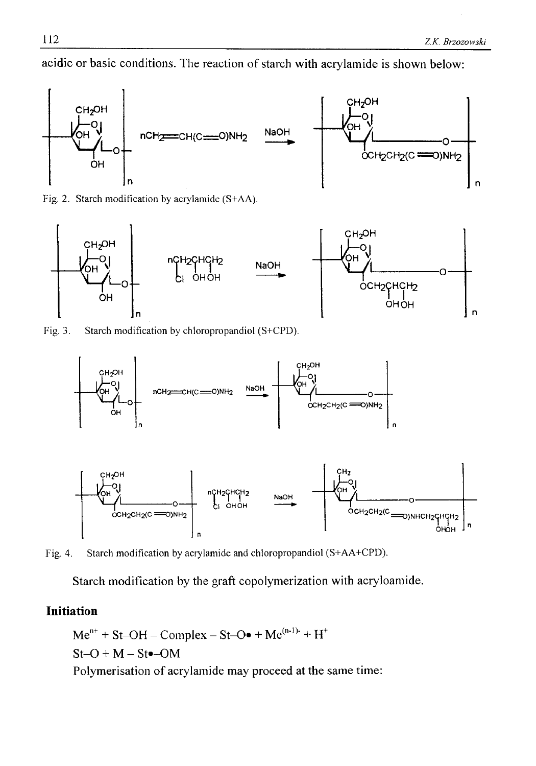acidic or basic conditions. The reaction of starch with acrylamide is shown below:



**Fig. 2. Starch modification by acrylamide (S+AA).**



**Fig. 3. Starch modification by chloropropandiol (S+CPD).**



**Fig. 4. Starch modification by acrylamide and chloropropandiol (S+AA+CPD).**

Starch modification by the graft copolymerization with acryloamide.

## **Initiation**

 $Me^{n+}$  + St-OH – Complex – St-O $\bullet$  + Me<sup>(n-1)-</sup> + H<sup>+</sup>  $St-O + M - St$  -  $OM$ Polymerisation of acrylamide may proceed at the same time: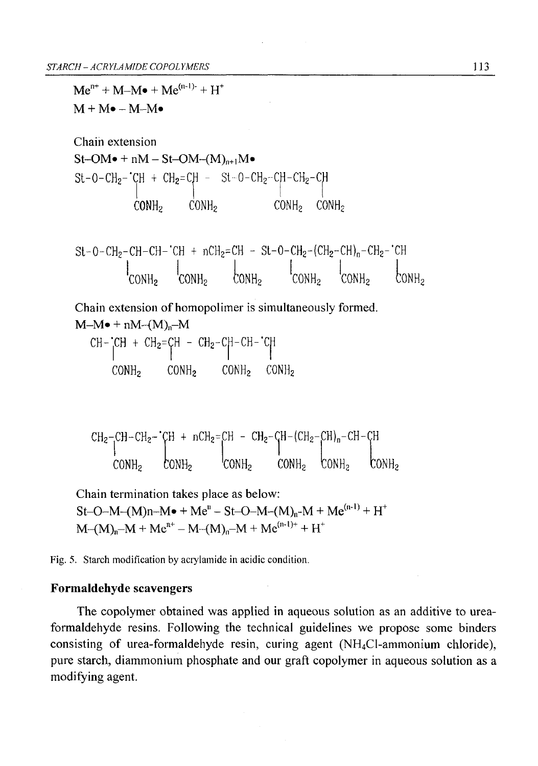$Me^{n+} + M-M \bullet + Me^{(n-1)-} + H^+$ 

 $M + M \bullet - M - M \bullet$ Chain extension  $St$ -OM $\bullet$  + nM – St-OM- $(M)_{n+1}M\bullet$  $\mathrm{St}\text{-}\mathrm{O}\text{-}\mathrm{CH}_2\text{-}\mathrm{CH}$  +  $\mathrm{CH}_2\text{=}$  CH  $\text{-}\mathrm{St}\text{-}\mathrm{O}\text{-}\mathrm{CH}_2\text{-}\mathrm{CH}_2\text{-}\mathrm{CH}_2\text{-}$  C  $\texttt{CONH}_2$ St-0-CH<sub>2</sub>-CH-CH-'CH + nCH<sub>2</sub>=CH - St-0-CH<sub>2</sub>-(CH<sub>2</sub>-CH)<sub>n</sub>-CH<sub>2</sub>-'CH  $\text{COMH}_2$   $\text{COMH}_2$   $\text{COMH}_2$   $\text{COMH}_2$   $\text{COMH}_2$ Chain extension of homopolimer is simultaneously formed.  $M-M \bullet + nM-(M)_{n}$ -M  $CH - CH + CH_2=CH - CH_2-CH-CH-CH$ 

$$
\begin{array}{cccc}\n\text{COMH}_2 & \text{CONH}_2 & \text{CONH}_2 & \text{CONH}_2 \\
\end{array}
$$

$$
CH_{2}-CH-CH_{2}-'CH + nCH_{2}=CH - CH_{2}-CH-(CH_{2}-CH)_{n}-CH-CH
$$
  
 
$$
COMH_{2}
$$
 
$$
COMH_{2}
$$
 
$$
COMH_{2}
$$
 
$$
COMH_{2}
$$

Chain termination takes place as below:  $St-O-M-(M)n-M \bullet +Me^{n} - St-O-M-(M)_{n} -M +Me^{(n-1)} +H^{+}$  $M-M-M + Me^{n^+} - M-(M)_n-M + Me^{(n-1)+} + H^+$ 

Fig. 5. Starch modification by acrylamide in acidic condition.

### **Formaldehyde scavengers**

The copolymer obtained was applied in aqueous solution as an additive to ureaformaldehyde resins. Following the technical guidelines we propose some binders consisting of urea-formaldehyde resin, curing agent (NH4C1-ammonium chloride), pure starch, diammonium phosphate and our graft copolymer in aqueous solution as a modifying agent.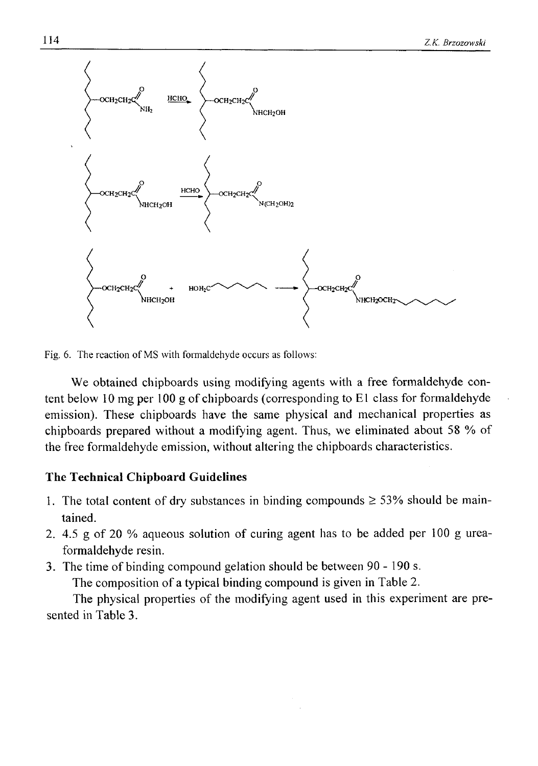

**Fig. 6. The reaction of MS with formaldehyde occurs as follows:**

We obtained chipboards using modifying agents with a free formaldehyde content below 10 mg per 100 g of chipboards (corresponding to El class for formaldehyde emission). These chipboards have the same physical and mechanical properties as chipboards prepared without a modifying agent. Thus, we eliminated about 58 % of the free formaldehyde emission, without altering the chipboards characteristics.

### **The Technical Chipboard Guidelines**

- 1. The total content of dry substances in binding compounds  $\geq$  53% should be maintained.
- 2. 4.5 g of 20 % aqueous solution of curing agent has to be added per 100 g ureaformaldehyde resin.
- 3. The time of binding compound gelation should be between 90 190 s.

The composition of a typical binding compound is given in Table 2.

The physical properties of the modifying agent used in this experiment are presented in Table 3.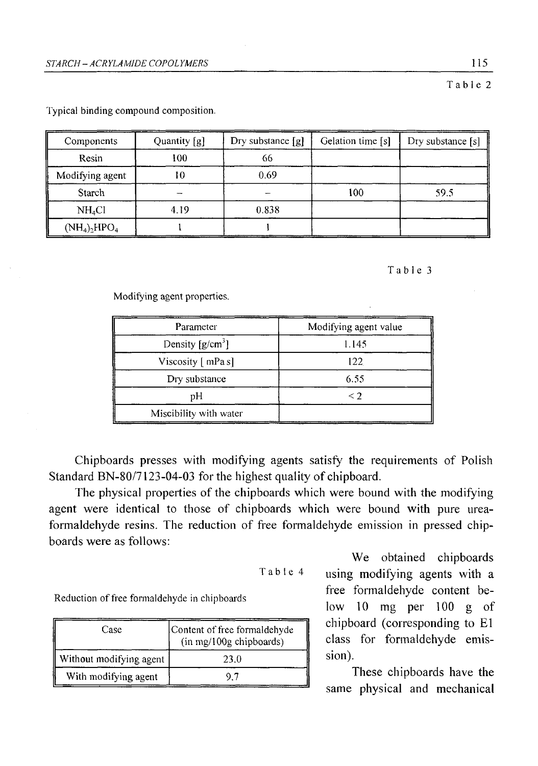**Table 2**

| Components         | Quantity [g] | Dry substance [g] | Gelation time [s] | Dry substance [s] |
|--------------------|--------------|-------------------|-------------------|-------------------|
| Resin              | 100          | 66                |                   |                   |
| Modifying agent    | 10           | 0.69              |                   |                   |
| Starch             |              |                   | 100               | 59.5              |
| NH <sub>4</sub> Cl | 4.19         | 0.838             |                   |                   |
| $(NH_4)_2HPO_4$    |              |                   |                   |                   |

**Typical binding compound composition.**

**Table 3**

**Modifying agent properties.**

| Parameter              | Modifying agent value |  |
|------------------------|-----------------------|--|
| Density $[g/cm^3]$     | 1.145                 |  |
| Viscosity [ mPa s]     | 122                   |  |
| Dry substance          | 6.55                  |  |
| рH                     | $\leq$ 2              |  |
| Miscibility with water |                       |  |

Chipboards presses with modifying agents satisfy the requirements of Polish Standard BN-80/7123-04-03 for the highest quality of chipboard.

The physical properties of the chipboards which were bound with the modifying agent were identical to those of chipboards which were bound with pure ureaformaldehyde resins. The reduction of free formaldehyde emission in pressed chipboards were as follows:

```
Table 4
```
Reduction of free formaldehyde in chipboards

| Case                    | Content of free formaldehyde<br>(in mg/100g chipboards) |
|-------------------------|---------------------------------------------------------|
| Without modifying agent | 23.0                                                    |
| With modifying agent    |                                                         |

We obtained chipboards using modifying agents with a free formaldehyde content below 10 mg per 100 g of chipboard (corresponding to El class for formaldehyde emission).

These chipboards have the same physical and mechanical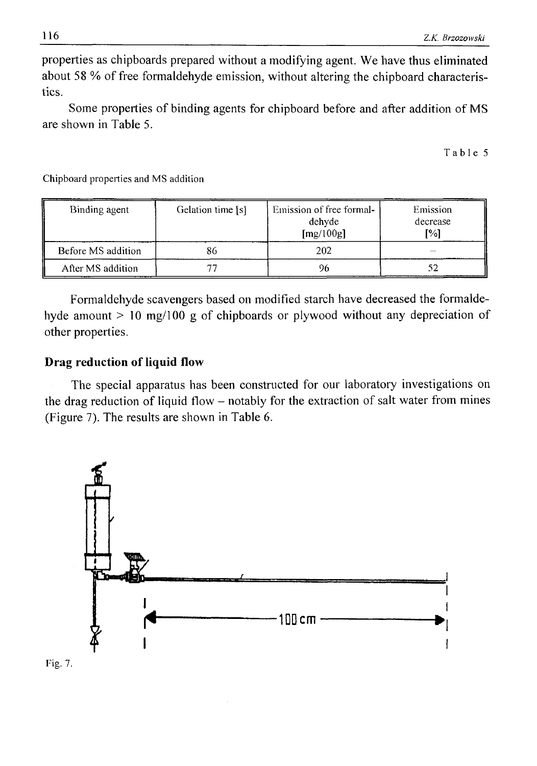properties as chipboards prepared without a modifying agent. We have thus eliminated about 58 % of free formaldehyde emission, without altering the chipboard characteristics.

Some properties of binding agents for chipboard before and after addition of MS are shown in Table 5.

**Table 5**

| Binding agent      | Gelation time [s] | Emission of free formal-<br>dehyde<br>[mg/100g] | Emission<br>decrease<br>[%] |
|--------------------|-------------------|-------------------------------------------------|-----------------------------|
| Before MS addition | 86                | 202                                             |                             |
| After MS addition  |                   |                                                 | 52                          |

**Chipboard properties and MS addition**

Formaldehyde scavengers based on modified starch have decreased the formaldehyde amount > 10 mg/100 g of chipboards or plywood without any depreciation of other properties.

## **Drag reduction of liquid flow**

The special apparatus has been constructed for our laboratory investigations on the drag reduction of liquid flow – notably for the extraction of salt water from mines (Figure 7). The results are shown in Table 6.



**Fig. 7.**